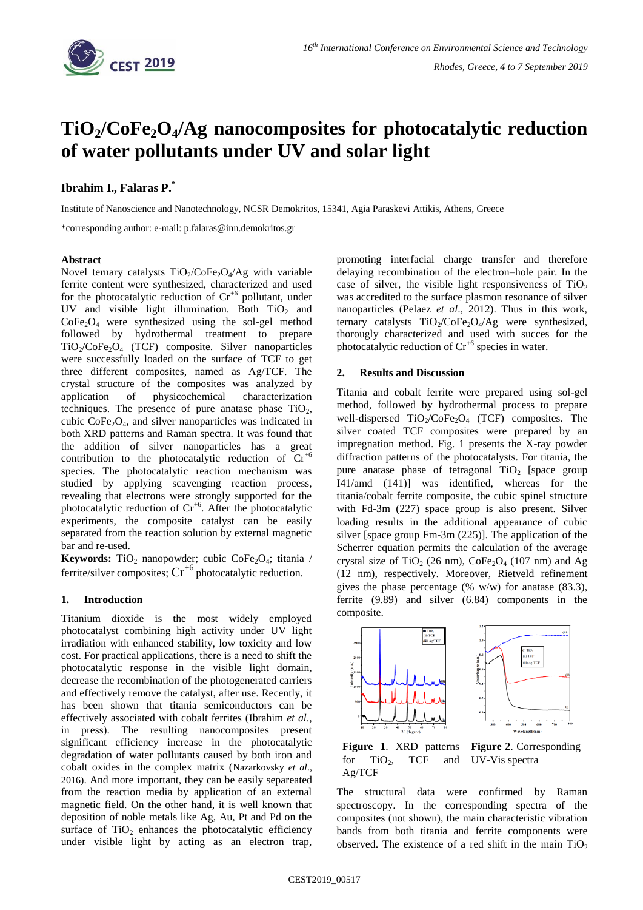

# **TiO2/CoFe2O4/Ag nanocomposites for photocatalytic reduction of water pollutants under UV and solar light**

# **Ibrahim I., Falaras P.\***

Institute of Nanoscience and Nanotechnology, NCSR Demokritos, 15341, Agia Paraskevi Attikis, Athens, Greece

\*corresponding author: e-mail: p.falaras@inn.demokritos.gr

#### **Abstract**

Novel ternary catalysts  $TiO<sub>2</sub>/CoFe<sub>2</sub>O<sub>4</sub>/Ag$  with variable ferrite content were synthesized, characterized and used for the photocatalytic reduction of  $Cr^{+6}$  pollutant, under UV and visible light illumination. Both  $TiO<sub>2</sub>$  and  $CoFe<sub>2</sub>O<sub>4</sub>$  were synthesized using the sol-gel method followed by hydrothermal treatment to prepare  $TiO<sub>2</sub>/CoFe<sub>2</sub>O<sub>4</sub>$  (TCF) composite. Silver nanoparticles were successfully loaded on the surface of TCF to get three different composites, named as Ag/TCF. The crystal structure of the composites was analyzed by application of physicochemical characterization techniques. The presence of pure anatase phase  $TiO<sub>2</sub>$ , cubic  $\text{CoFe}_2\text{O}_4$ , and silver nanoparticles was indicated in both XRD patterns and Raman spectra. It was found that the addition of silver nanoparticles has a great contribution to the photocatalytic reduction of  $Cr^{+6}$ species. The photocatalytic reaction mechanism was studied by applying scavenging reaction process, revealing that electrons were strongly supported for the photocatalytic reduction of  $Cr^{+6}$ . After the photocatalytic experiments, the composite catalyst can be easily separated from the reaction solution by external magnetic bar and re-used.

Keywords: TiO<sub>2</sub> nanopowder; cubic CoFe<sub>2</sub>O<sub>4</sub>; titania / ferrite/silver composites;  $Cr^{+6}$  photocatalytic reduction.

## **1. Introduction**

Titanium dioxide is the most widely employed photocatalyst combining high activity under UV light irradiation with enhanced stability, low toxicity and low cost. For practical applications, there is a need to shift the photocatalytic response in the visible light domain, decrease the recombination of the photogenerated carriers and effectively remove the catalyst, after use. Recently, it has been shown that titania semiconductors can be effectively associated with cobalt ferrites (Ibrahim *et al*., in press). The resulting nanocomposites present significant efficiency increase in the photocatalytic degradation of water pollutants caused by both iron and cobalt oxides in the complex matrix (Nazarkovsky *et al*., 2016). And more important, they can be easily separeated from the reaction media by application of an external magnetic field. On the other hand, it is well known that deposition of noble metals like Ag, Au, Pt and Pd on the surface of  $TiO<sub>2</sub>$  enhances the photocatalytic efficiency under visible light by acting as an electron trap,

promoting interfacial charge transfer and therefore delaying recombination of the electron–hole pair. In the case of silver, the visible light responsiveness of  $TiO<sub>2</sub>$ was accredited to the surface plasmon resonance of silver nanoparticles (Pelaez *et al*., 2012). Thus in this work, ternary catalysts  $TiO<sub>2</sub>/CoFe<sub>2</sub>O<sub>4</sub>/Ag$  were synthesized, thorougly characterized and used with succes for the photocatalytic reduction of  $Cr^{+6}$  species in water.

#### **2. Results and Discussion**

Titania and cobalt ferrite were prepared using sol-gel method, followed by hydrothermal process to prepare well-dispersed  $TiO_2/CoFe_2O_4$  (TCF) composites. The silver coated TCF composites were prepared by an impregnation method. Fig. 1 presents the X-ray powder diffraction patterns of the photocatalysts. For titania, the pure anatase phase of tetragonal  $TiO<sub>2</sub>$  [space group] I41/amd (141)] was identified, whereas for the titania/cobalt ferrite composite, the cubic spinel structure with Fd-3m (227) space group is also present. Silver loading results in the additional appearance of cubic silver [space group Fm-3m (225)]. The application of the Scherrer equation permits the calculation of the average crystal size of TiO<sub>2</sub> (26 nm), CoFe<sub>2</sub>O<sub>4</sub> (107 nm) and Ag (12 nm), respectively. Moreover, Rietveld refinement gives the phase percentage (%  $w/w$ ) for anatase (83.3), ferrite (9.89) and silver (6.84) components in the composite.



**Figure 1**. XRD patterns for  $TiO<sub>2</sub>$ , TCF and Ag/TCF **Figure 2**. Corresponding UV-Vis spectra

The structural data were confirmed by Raman spectroscopy. In the corresponding spectra of the composites (not shown), the main characteristic vibration bands from both titania and ferrite components were observed. The existence of a red shift in the main  $TiO<sub>2</sub>$